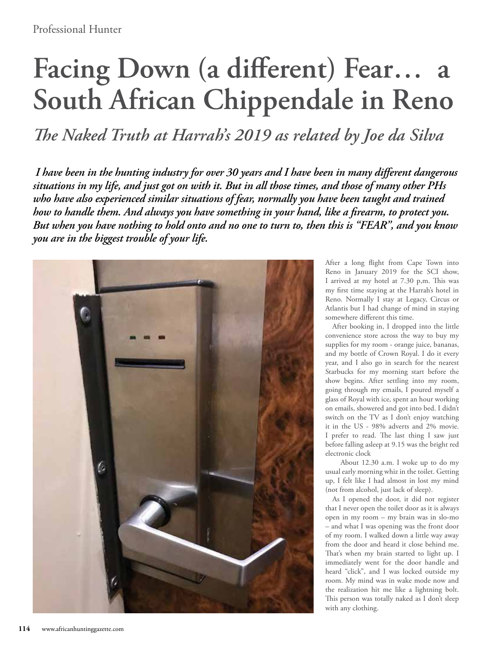## **Facing Down (a different) Fear… a South African Chippendale in Reno**

*The Naked Truth at Harrah's 2019 as related by Joe da Silva*

 *I have been in the hunting industry for over 30 years and I have been in many different dangerous situations in my life, and just got on with it. But in all those times, and those of many other PHs who have also experienced similar situations of fear, normally you have been taught and trained how to handle them. And always you have something in your hand, like a firearm, to protect you. But when you have nothing to hold onto and no one to turn to, then this is "FEAR", and you know you are in the biggest trouble of your life.*



After a long flight from Cape Town into Reno in January 2019 for the SCI show, I arrived at my hotel at 7.30 p,m. This was my first time staying at the Harrah's hotel in Reno. Normally I stay at Legacy, Circus or Atlantis but I had change of mind in staying somewhere different this time.

After booking in, I dropped into the little convenience store across the way to buy my supplies for my room - orange juice, bananas, and my bottle of Crown Royal. I do it every year, and I also go in search for the nearest Starbucks for my morning start before the show begins. After settling into my room, going through my emails, I poured myself a glass of Royal with ice, spent an hour working on emails, showered and got into bed. I didn't switch on the TV as I don't enjoy watching it in the US - 98% adverts and 2% movie. I prefer to read. The last thing I saw just before falling asleep at 9.15 was the bright red electronic clock

 About 12.30 a.m. I woke up to do my usual early morning whiz in the toilet. Getting up, I felt like I had almost in lost my mind (not from alcohol, just lack of sleep).

As I opened the door, it did not register that I never open the toilet door as it is always open in my room – my brain was in slo-mo – and what I was opening was the front door of my room. I walked down a little way away from the door and heard it close behind me. That's when my brain started to light up. I immediately went for the door handle and heard "click", and I was locked outside my room. My mind was in wake mode now and the realization hit me like a lightning bolt. This person was totally naked as I don't sleep with any clothing.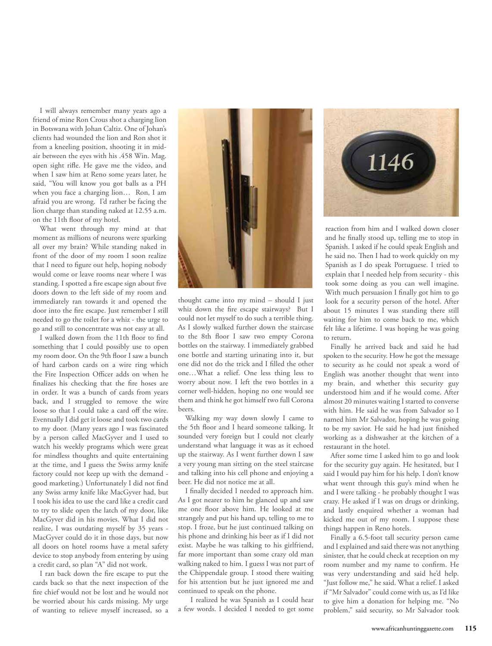I will always remember many years ago a friend of mine Ron Crous shot a charging lion in Botswana with Johan Caltiz. One of Johan's clients had wounded the lion and Ron shot it from a kneeling position, shooting it in midair between the eyes with his .458 Win. Mag. open sight rifle. He gave me the video, and when I saw him at Reno some years later, he said, "You will know you got balls as a PH when you face a charging lion… Ron, I am afraid you are wrong. I'd rather be facing the lion charge than standing naked at 12.55 a.m. on the 11th floor of my hotel.

What went through my mind at that moment as millions of neurons were sparking all over my brain? While standing naked in front of the door of my room I soon realize that I need to figure out help, hoping nobody would come or leave rooms near where I was standing. I spotted a fire escape sign about five doors down to the left side of my room and immediately ran towards it and opened the door into the fire escape. Just remember I still needed to go the toilet for a whiz - the urge to go and still to concentrate was not easy at all.

I walked down from the 11th floor to find something that I could possibly use to open my room door. On the 9th floor I saw a bunch of hard carbon cards on a wire ring which the Fire Inspection Officer adds on when he finalizes his checking that the fire hoses are in order. It was a bunch of cards from years back, and I struggled to remove the wire loose so that I could take a card off the wire. Eventually I did get it loose and took two cards to my door. (Many years ago I was fascinated by a person called MacGyver and I used to watch his weekly programs which were great for mindless thoughts and quite entertaining at the time, and I guess the Swiss army knife factory could not keep up with the demand good marketing.) Unfortunately I did not find any Swiss army knife like MacGyver had, but I took his idea to use the card like a credit card to try to slide open the latch of my door, like MacGyver did in his movies. What I did not realize, I was outdating myself by 35 years - MacGyver could do it in those days, but now all doors on hotel rooms have a metal safety device to stop anybody from entering by using a credit card, so plan "A" did not work.

I ran back down the fire escape to put the cards back so that the next inspection of the fire chief would not be lost and he would not be worried about his cards missing. My urge of wanting to relieve myself increased, so a



thought came into my mind – should I just whiz down the fire escape stairways? But I could not let myself to do such a terrible thing. As I slowly walked further down the staircase to the 8th floor I saw two empty Corona bottles on the stairway. I immediately grabbed one bottle and starting urinating into it, but one did not do the trick and I filled the other one…What a relief. One less thing less to worry about now. I left the two bottles in a corner well-hidden, hoping no one would see them and think he got himself two full Corona beers.

Walking my way down slowly I came to the 5th floor and I heard someone talking. It sounded very foreign but I could not clearly understand what language it was as it echoed up the stairway. As I went further down I saw a very young man sitting on the steel staircase and talking into his cell phone and enjoying a beer. He did not notice me at all.

I finally decided I needed to approach him. As I got nearer to him he glanced up and saw me one floor above him. He looked at me strangely and put his hand up, telling to me to stop. I froze, but he just continued talking on his phone and drinking his beer as if I did not exist. Maybe he was talking to his girlfriend, far more important than some crazy old man walking naked to him. I guess I was not part of the Chippendale group. I stood there waiting for his attention but he just ignored me and continued to speak on the phone.

 I realized he was Spanish as I could hear a few words. I decided I needed to get some



reaction from him and I walked down closer and he finally stood up, telling me to stop in Spanish. I asked if he could speak English and he said no. Then I had to work quickly on my Spanish as I do speak Portuguese. I tried to explain that I needed help from security - this took some doing as you can well imagine. With much persuasion I finally got him to go look for a security person of the hotel. After about 15 minutes I was standing there still waiting for him to come back to me, which felt like a lifetime. I was hoping he was going to return.

Finally he arrived back and said he had spoken to the security. How he got the message to security as he could not speak a word of English was another thought that went into my brain, and whether this security guy understood him and if he would come. After almost 20 minutes waiting I started to converse with him. He said he was from Salvador so I named him Mr Salvador, hoping he was going to be my savior. He said he had just finished working as a dishwasher at the kitchen of a restaurant in the hotel.

After some time I asked him to go and look for the security guy again. He hesitated, but I said I would pay him for his help. I don't know what went through this guy's mind when he and I were talking - he probably thought I was crazy. He asked if I was on drugs or drinking, and lastly enquired whether a woman had kicked me out of my room. I suppose these things happen in Reno hotels.

Finally a 6.5-foot tall security person came and I explained and said there was not anything sinister, that he could check at reception on my room number and my name to confirm. He was very understanding and said he'd help. "Just follow me," he said. What a relief. I asked if "Mr Salvador" could come with us, as I'd like to give him a donation for helping me. "No problem," said security, so Mr Salvador took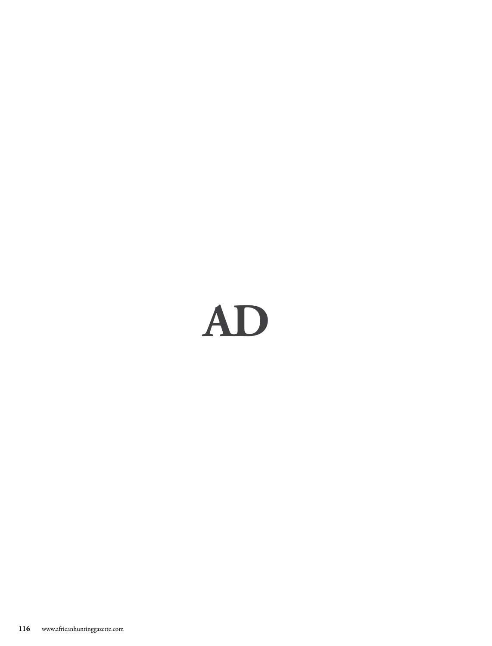## AD